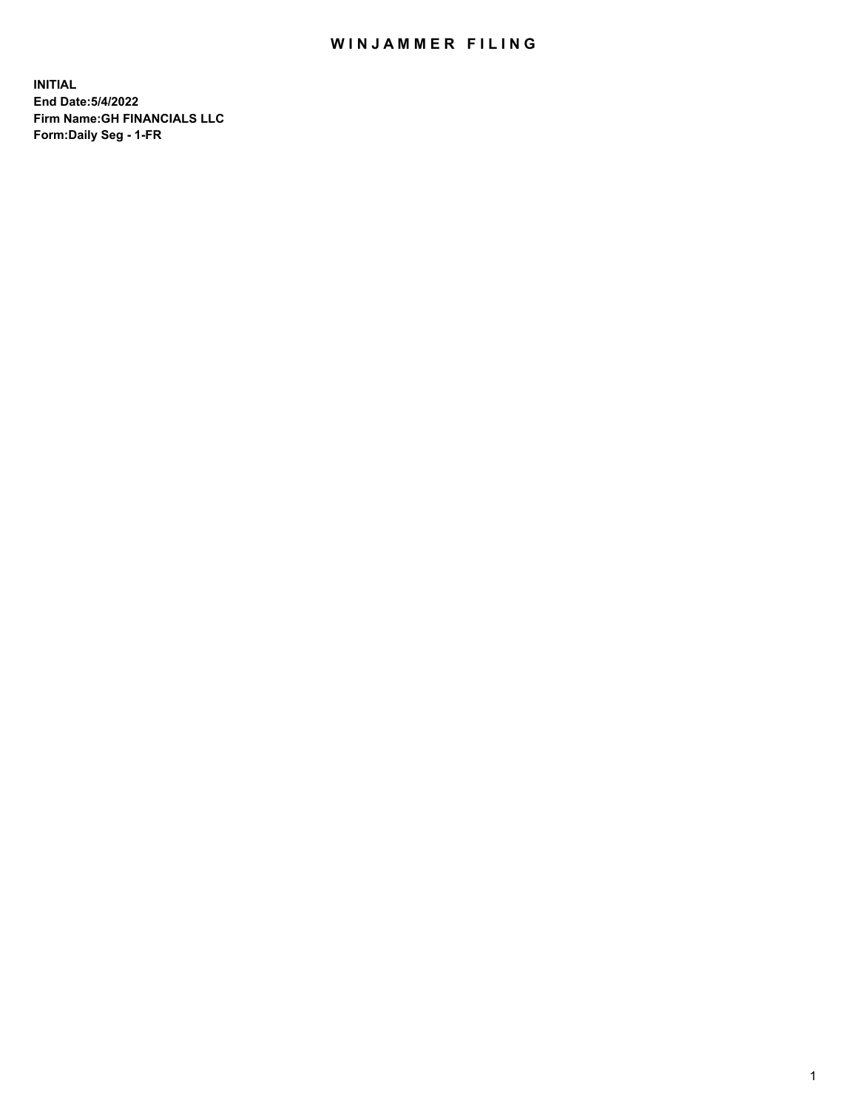## WIN JAMMER FILING

**INITIAL End Date:5/4/2022 Firm Name:GH FINANCIALS LLC Form:Daily Seg - 1-FR**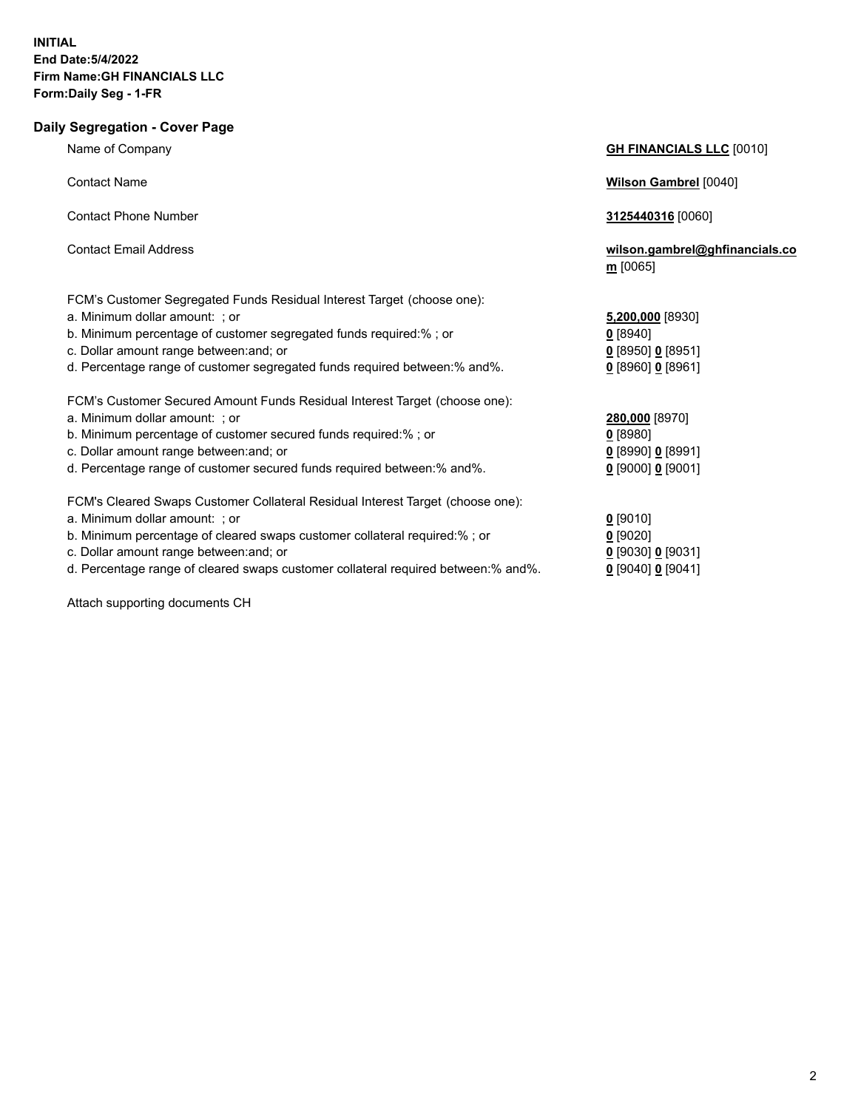**Daily Segregation - Cover Page**

## Name of Company **GH FINANCIALS LLC** [0010] Contact Name **Wilson Gambrel** [0040] Contact Phone Number **3125440316** [0060] Contact Email Address **wilson.gambrel@ghfinancials.co m** [0065] FCM's Customer Segregated Funds Residual Interest Target (choose one): a. Minimum dollar amount: ; or b. Minimum percentage of customer segregated funds required:% ; or c. Dollar amount range between: and; or d. Percentage range of customer segregated funds required between:% and%. FCM's Customer Secured Amount Funds Residual Interest Target (choose one): a. Minimum dollar amount: ; or **280,000** [8970] b. Minimum percentage of customer secured funds required:% ; or **0** [8980] c. Dollar amount range between:and; or **0** [8990] **0** [8991] d. Percentage range of customer secured funds required between:% and%. **0** [9000] **0** [9001] FCM's Cleared Swaps Customer Collateral Residual Interest Target (choose one): a. Minimum dollar amount: ; or **0** [9010] b. Minimum percentage of cleared swaps customer collateral required:% ; or **0** [9020]

- c. Dollar amount range between:and; or **0** [9030] **0** [9031]
- d. Percentage range of cleared swaps customer collateral required between:% and%. **0** [9040] **0** [9041]

Attach supporting documents CH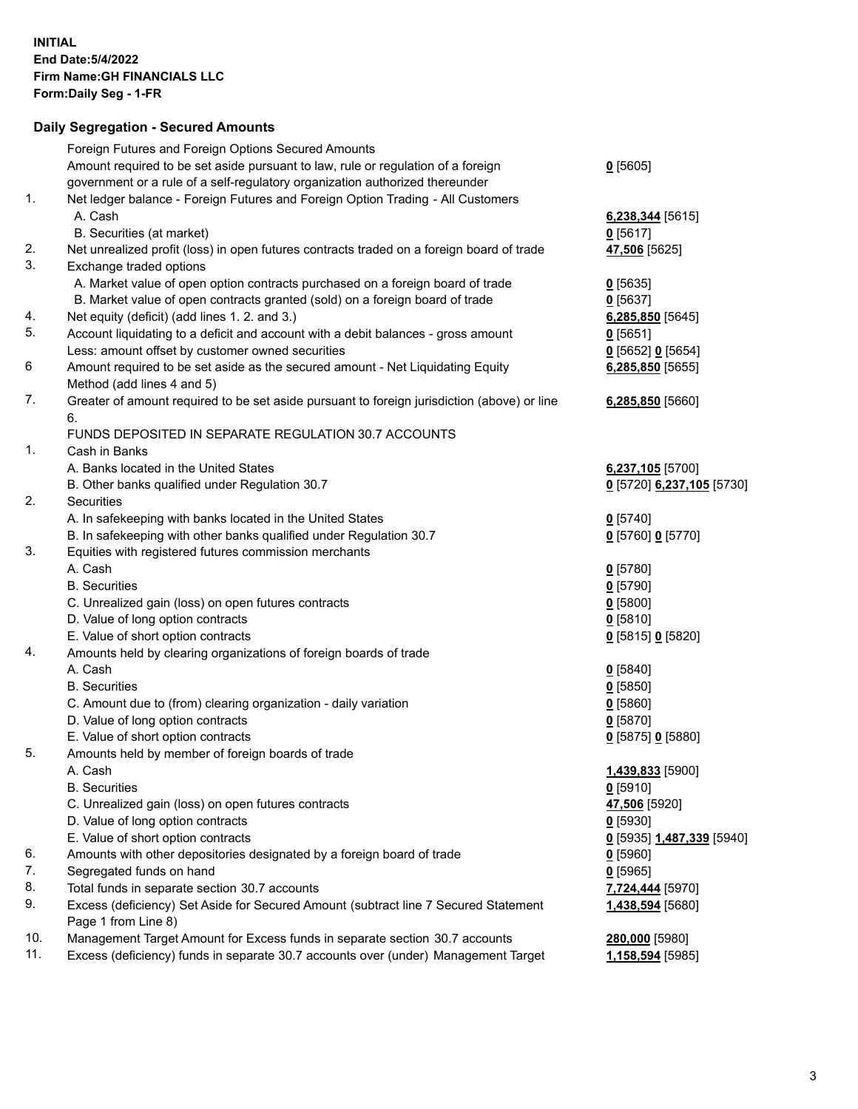## **Daily Segregation - Secured Amounts**

| 11. | Excess (deficiency) funds in separate 30.7 accounts over (under) Management Target          | <u>1,158,594</u> [5985]   |
|-----|---------------------------------------------------------------------------------------------|---------------------------|
| 10. | Management Target Amount for Excess funds in separate section 30.7 accounts                 | <b>280,000</b> [5980]     |
|     | Page 1 from Line 8)                                                                         |                           |
| 9.  | Excess (deficiency) Set Aside for Secured Amount (subtract line 7 Secured Statement         | 1,438,594 [5680]          |
| 8.  | Total funds in separate section 30.7 accounts                                               | 7,724,444 [5970]          |
| 7.  | Segregated funds on hand                                                                    | $0$ [5965]                |
| 6.  | Amounts with other depositories designated by a foreign board of trade                      | $0$ [5960]                |
|     | E. Value of short option contracts                                                          | 0 [5935] 1,487,339 [5940] |
|     | D. Value of long option contracts                                                           | $0$ [5930]                |
|     | C. Unrealized gain (loss) on open futures contracts                                         | 47,506 [5920]             |
|     | <b>B.</b> Securities                                                                        | $0$ [5910]                |
|     | A. Cash                                                                                     | 1,439,833 [5900]          |
| 5.  | Amounts held by member of foreign boards of trade                                           |                           |
|     | E. Value of short option contracts                                                          | $0$ [5875] 0 [5880]       |
|     | D. Value of long option contracts                                                           | $0$ [5870]                |
|     | C. Amount due to (from) clearing organization - daily variation                             | 0[5860]                   |
|     | <b>B.</b> Securities                                                                        | $0$ [5850]                |
|     | A. Cash                                                                                     | $0$ [5840]                |
| 4.  | Amounts held by clearing organizations of foreign boards of trade                           |                           |
|     | E. Value of short option contracts                                                          | 0 [5815] 0 [5820]         |
|     | D. Value of long option contracts                                                           | 0[5810]                   |
|     | C. Unrealized gain (loss) on open futures contracts                                         | $0$ [5800]                |
|     | <b>B.</b> Securities                                                                        | $0$ [5790]                |
|     | A. Cash                                                                                     | $0$ [5780]                |
| 3.  | Equities with registered futures commission merchants                                       |                           |
|     | B. In safekeeping with other banks qualified under Regulation 30.7                          | 0 [5760] 0 [5770]         |
|     | A. In safekeeping with banks located in the United States                                   | $0$ [5740]                |
| 2.  | Securities                                                                                  |                           |
|     | B. Other banks qualified under Regulation 30.7                                              | 0 [5720] 6,237,105 [5730] |
|     | A. Banks located in the United States                                                       | 6,237,105 [5700]          |
| 1.  | Cash in Banks                                                                               |                           |
|     | FUNDS DEPOSITED IN SEPARATE REGULATION 30.7 ACCOUNTS                                        |                           |
|     | 6.                                                                                          |                           |
| 7.  | Greater of amount required to be set aside pursuant to foreign jurisdiction (above) or line | 6,285,850 [5660]          |
|     | Method (add lines 4 and 5)                                                                  |                           |
| 6   | Amount required to be set aside as the secured amount - Net Liquidating Equity              | 6,285,850 [5655]          |
|     | Less: amount offset by customer owned securities                                            | $0$ [5652] $0$ [5654]     |
| 5.  | Account liquidating to a deficit and account with a debit balances - gross amount           | $0$ [5651]                |
| 4.  | Net equity (deficit) (add lines 1. 2. and 3.)                                               | 6,285,850 [5645]          |
|     | B. Market value of open contracts granted (sold) on a foreign board of trade                | $0$ [5637]                |
|     | A. Market value of open option contracts purchased on a foreign board of trade              | $0$ [5635]                |
| 3.  | Exchange traded options                                                                     |                           |
| 2.  | Net unrealized profit (loss) in open futures contracts traded on a foreign board of trade   | 47,506 [5625]             |
|     | B. Securities (at market)                                                                   | $0$ [5617]                |
|     | A. Cash                                                                                     | 6,238,344 [5615]          |
| 1.  | Net ledger balance - Foreign Futures and Foreign Option Trading - All Customers             |                           |
|     | government or a rule of a self-regulatory organization authorized thereunder                |                           |
|     | Amount required to be set aside pursuant to law, rule or regulation of a foreign            | $0$ [5605]                |
|     | Foreign Futures and Foreign Options Secured Amounts                                         |                           |
|     |                                                                                             |                           |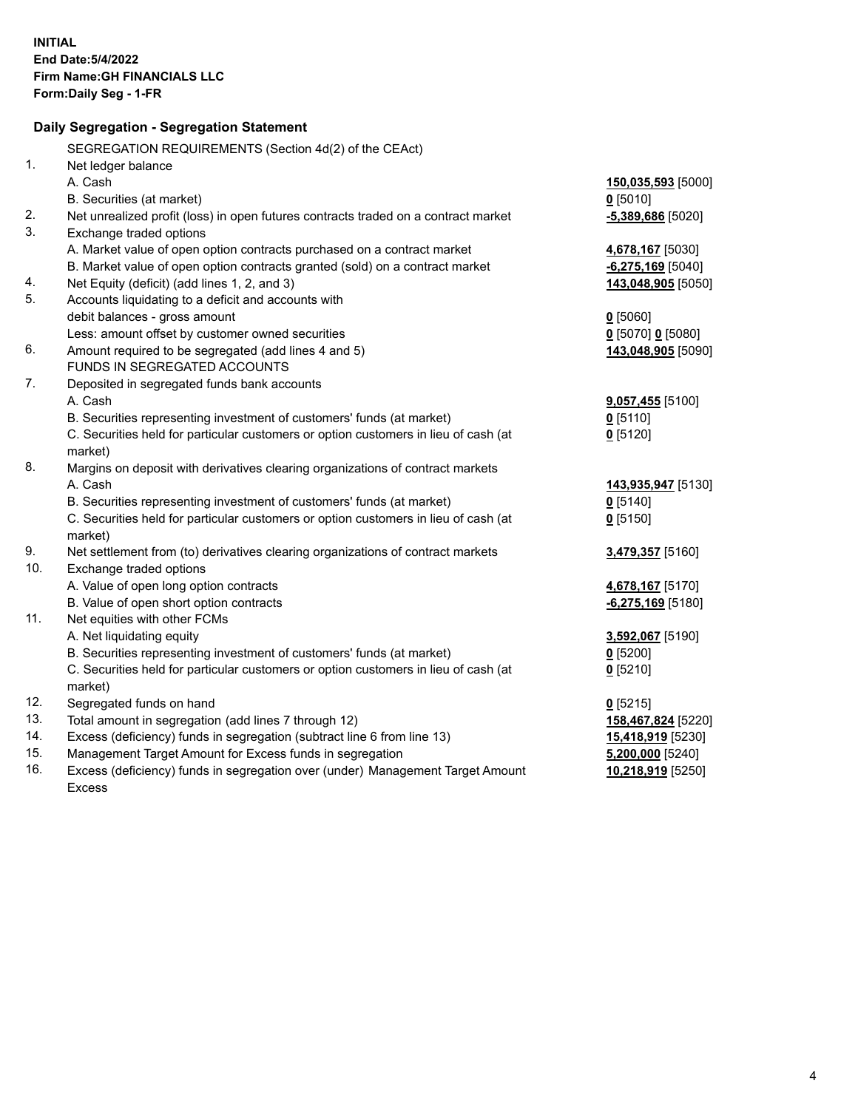|     | Daily Segregation - Segregation Statement                                           |                     |
|-----|-------------------------------------------------------------------------------------|---------------------|
|     | SEGREGATION REQUIREMENTS (Section 4d(2) of the CEAct)                               |                     |
| 1.  | Net ledger balance                                                                  |                     |
|     | A. Cash                                                                             | 150,035,593 [5000]  |
|     | B. Securities (at market)                                                           | $0$ [5010]          |
| 2.  | Net unrealized profit (loss) in open futures contracts traded on a contract market  | $-5,389,686$ [5020] |
| 3.  | Exchange traded options                                                             |                     |
|     | A. Market value of open option contracts purchased on a contract market             | 4,678,167 [5030]    |
|     | B. Market value of open option contracts granted (sold) on a contract market        | $-6,275,169$ [5040] |
| 4.  | Net Equity (deficit) (add lines 1, 2, and 3)                                        | 143,048,905 [5050]  |
| 5.  | Accounts liquidating to a deficit and accounts with                                 |                     |
|     | debit balances - gross amount                                                       | $0$ [5060]          |
|     | Less: amount offset by customer owned securities                                    | $0$ [5070] 0 [5080] |
| 6.  | Amount required to be segregated (add lines 4 and 5)                                | 143,048,905 [5090]  |
|     | FUNDS IN SEGREGATED ACCOUNTS                                                        |                     |
| 7.  | Deposited in segregated funds bank accounts                                         |                     |
|     | A. Cash                                                                             | 9,057,455 [5100]    |
|     | B. Securities representing investment of customers' funds (at market)               | $0$ [5110]          |
|     | C. Securities held for particular customers or option customers in lieu of cash (at | $0$ [5120]          |
|     | market)                                                                             |                     |
| 8.  | Margins on deposit with derivatives clearing organizations of contract markets      |                     |
|     | A. Cash                                                                             | 143,935,947 [5130]  |
|     | B. Securities representing investment of customers' funds (at market)               | $0$ [5140]          |
|     | C. Securities held for particular customers or option customers in lieu of cash (at | $0$ [5150]          |
|     | market)                                                                             |                     |
| 9.  | Net settlement from (to) derivatives clearing organizations of contract markets     | 3,479,357 [5160]    |
| 10. | Exchange traded options                                                             |                     |
|     | A. Value of open long option contracts                                              | 4,678,167 [5170]    |
|     | B. Value of open short option contracts                                             | $-6,275,169$ [5180] |
| 11. | Net equities with other FCMs                                                        |                     |
|     | A. Net liquidating equity                                                           | 3,592,067 [5190]    |
|     | B. Securities representing investment of customers' funds (at market)               | $0$ [5200]          |
|     | C. Securities held for particular customers or option customers in lieu of cash (at | $0$ [5210]          |
|     | market)                                                                             |                     |
| 12. | Segregated funds on hand                                                            | $0$ [5215]          |
| 13. | Total amount in segregation (add lines 7 through 12)                                | 158,467,824 [5220]  |
| 14. | Excess (deficiency) funds in segregation (subtract line 6 from line 13)             | 15,418,919 [5230]   |
| 15. | Management Target Amount for Excess funds in segregation                            | $5,200,000$ [5240]  |
| 16. | Excess (deficiency) funds in segregation over (under) Management Target Amount      | 10,218,919 [5250]   |
|     | <b>Excess</b>                                                                       |                     |